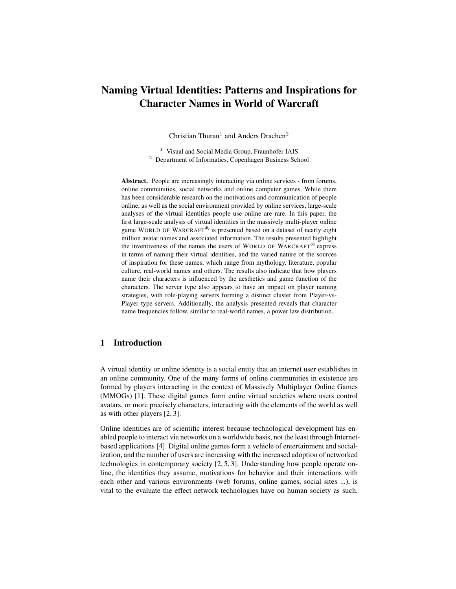# Naming Virtual Identities: Patterns and Inspirations for Character Names in World of Warcraft

Christian Thurau<sup>1</sup> and Anders Drachen<sup>2</sup>

<sup>1</sup> Visual and Social Media Group, Fraunhofer IAIS <sup>2</sup> Department of Informatics, Copenhagen Business School

Abstract. People are increasingly interacting via online services - from forums, online communities, social networks and online computer games. While there has been considerable research on the motivations and communication of people online, as well as the social environment provided by online services, large-scale analyses of the virtual identities people use online are rare. In this paper, the first large-scale analysis of virtual identities in the massively multi-player online game WORLD OF WARCRAFT<sup>®</sup> is presented based on a dataset of nearly eight million avatar names and associated information. The results presented highlight the inventiveness of the names the users of WORLD OF WARCRAFT® express in terms of naming their virtual identities, and the varied nature of the sources of inspiration for these names, which range from mythology, literature, popular culture, real-world names and others. The results also indicate that how players name their characters is influenced by the aesthetics and game function of the characters. The server type also appears to have an impact on player naming strategies, with role-playing servers forming a distinct cluster from Player-vs-Player type servers. Additionally, the analysis presented reveals that character name frequencies follow, similar to real-world names, a power law distribution.

# 1 Introduction

A virtual identity or online identity is a social entity that an internet user establishes in an online community. One of the many forms of online communities in existence are formed by players interacting in the context of Massively Multiplayer Online Games (MMOGs) [1]. These digital games form entire virtual societies where users control avatars, or more precisely characters, interacting with the elements of the world as well as with other players [2, 3].

Online identities are of scientific interest because technological development has enabled people to interact via networks on a worldwide basis, not the least through Internetbased applications [4]. Digital online games form a vehicle of entertainment and socialization, and the number of users are increasing with the increased adoption of networked technologies in contemporary society [2, 5, 3]. Understanding how people operate online, the identities they assume, motivations for behavior and their interactions with each other and various environments (web forums, online games, social sites ...), is vital to the evaluate the effect network technologies have on human society as such.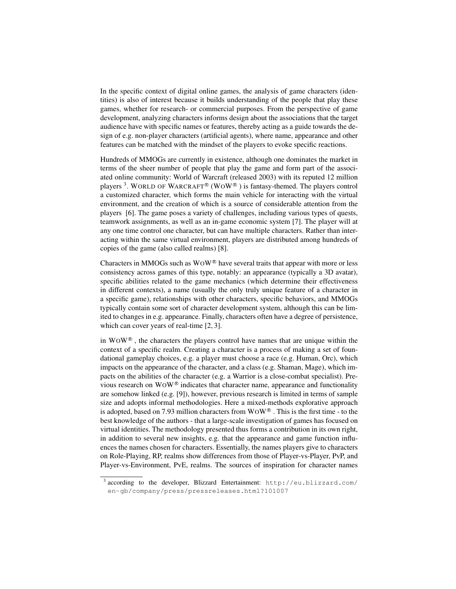In the specific context of digital online games, the analysis of game characters (identities) is also of interest because it builds understanding of the people that play these games, whether for research- or commercial purposes. From the perspective of game development, analyzing characters informs design about the associations that the target audience have with specific names or features, thereby acting as a guide towards the design of e.g. non-player characters (artificial agents), where name, appearance and other features can be matched with the mindset of the players to evoke specific reactions.

Hundreds of MMOGs are currently in existence, although one dominates the market in terms of the sheer number of people that play the game and form part of the associated online community: World of Warcraft (released 2003) with its reputed 12 million players<sup>3</sup>. WORLD OF WARCRAFT<sup>®</sup> (WOW®) is fantasy-themed. The players control a customized character, which forms the main vehicle for interacting with the virtual environment, and the creation of which is a source of considerable attention from the players [6]. The game poses a variety of challenges, including various types of quests, teamwork assignments, as well as an in-game economic system [7]. The player will at any one time control one character, but can have multiple characters. Rather than interacting within the same virtual environment, players are distributed among hundreds of copies of the game (also called realms) [8].

Characters in MMOGs such as  $WOW^{\circledR}$  have several traits that appear with more or less consistency across games of this type, notably: an appearance (typically a 3D avatar), specific abilities related to the game mechanics (which determine their effectiveness in different contexts), a name (usually the only truly unique feature of a character in a specific game), relationships with other characters, specific behaviors, and MMOGs typically contain some sort of character development system, although this can be limited to changes in e.g. appearance. Finally, characters often have a degree of persistence, which can cover years of real-time [2, 3].

in  $WOW^{\otimes}$ , the characters the players control have names that are unique within the context of a specific realm. Creating a character is a process of making a set of foundational gameplay choices, e.g. a player must choose a race (e.g. Human, Orc), which impacts on the appearance of the character, and a class (e.g. Shaman, Mage), which impacts on the abilities of the character (e.g. a Warrior is a close-combat specialist). Previous research on WOW<sup>®</sup> indicates that character name, appearance and functionality are somehow linked (e.g. [9]), however, previous research is limited in terms of sample size and adopts informal methodologies. Here a mixed-methods explorative approach is adopted, based on 7.93 million characters from  $WOW^{\circledast}$  . This is the first time - to the best knowledge of the authors - that a large-scale investigation of games has focused on virtual identities. The methodology presented thus forms a contribution in its own right, in addition to several new insights, e.g. that the appearance and game function influences the names chosen for characters. Essentially, the names players give to characters on Role-Playing, RP, realms show differences from those of Player-vs-Player, PvP, and Player-vs-Environment, PvE, realms. The sources of inspiration for character names

<sup>&</sup>lt;sup>3</sup> according to the developer, Blizzard Entertainment: http://eu.blizzard.com/ en-gb/company/press/pressreleases.html?101007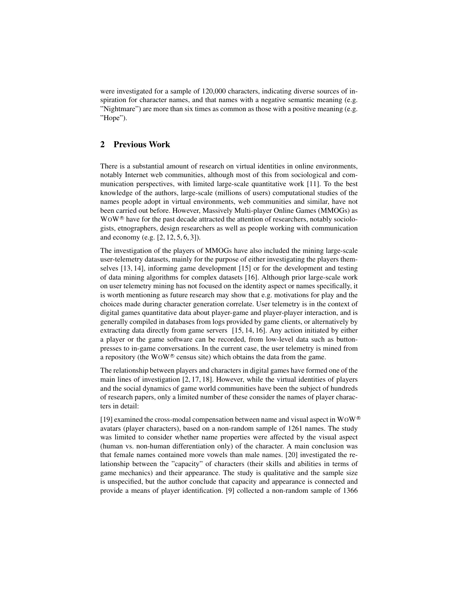were investigated for a sample of 120,000 characters, indicating diverse sources of inspiration for character names, and that names with a negative semantic meaning (e.g. "Nightmare") are more than six times as common as those with a positive meaning (e.g. "Hope").

# 2 Previous Work

There is a substantial amount of research on virtual identities in online environments, notably Internet web communities, although most of this from sociological and communication perspectives, with limited large-scale quantitative work [11]. To the best knowledge of the authors, large-scale (millions of users) computational studies of the names people adopt in virtual environments, web communities and similar, have not been carried out before. However, Massively Multi-player Online Games (MMOGs) as WOW<sup>®</sup> have for the past decade attracted the attention of researchers, notably sociologists, etnographers, design researchers as well as people working with communication and economy (e.g. [2, 12, 5, 6, 3]).

The investigation of the players of MMOGs have also included the mining large-scale user-telemetry datasets, mainly for the purpose of either investigating the players themselves [13, 14], informing game development [15] or for the development and testing of data mining algorithms for complex datasets [16]. Although prior large-scale work on user telemetry mining has not focused on the identity aspect or names specifically, it is worth mentioning as future research may show that e.g. motivations for play and the choices made during character generation correlate. User telemetry is in the context of digital games quantitative data about player-game and player-player interaction, and is generally compiled in databases from logs provided by game clients, or alternatively by extracting data directly from game servers [15, 14, 16]. Any action initiated by either a player or the game software can be recorded, from low-level data such as buttonpresses to in-game conversations. In the current case, the user telemetry is mined from a repository (the  $WOW^{\otimes}$  census site) which obtains the data from the game.

The relationship between players and characters in digital games have formed one of the main lines of investigation [2, 17, 18]. However, while the virtual identities of players and the social dynamics of game world communities have been the subject of hundreds of research papers, only a limited number of these consider the names of player characters in detail:

[19] examined the cross-modal compensation between name and visual aspect in WOW <sup>R</sup> avatars (player characters), based on a non-random sample of 1261 names. The study was limited to consider whether name properties were affected by the visual aspect (human vs. non-human differentiation only) of the character. A main conclusion was that female names contained more vowels than male names. [20] investigated the relationship between the "capacity" of characters (their skills and abilities in terms of game mechanics) and their appearance. The study is qualitative and the sample size is unspecified, but the author conclude that capacity and appearance is connected and provide a means of player identification. [9] collected a non-random sample of 1366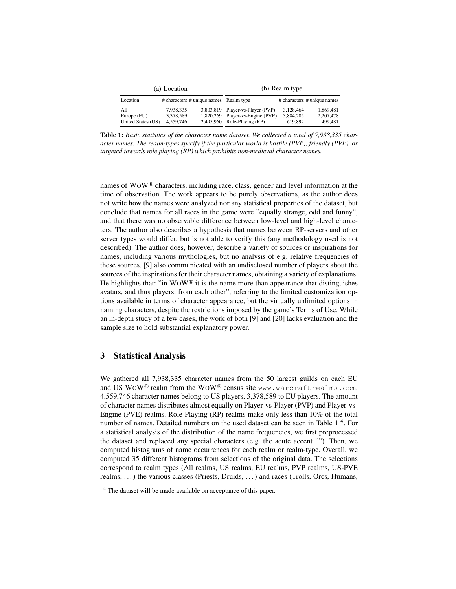| (a) Location                             |                                        |  | (b) Realm type                                                                                      |                                   |                                   |
|------------------------------------------|----------------------------------------|--|-----------------------------------------------------------------------------------------------------|-----------------------------------|-----------------------------------|
| Location                                 | # characters # unique names Realm type |  |                                                                                                     |                                   | # characters # unique names       |
| A11<br>Europe (EU)<br>United States (US) | 7.938.335<br>3.378.589<br>4,559,746    |  | 3,803,819 Player-vs-Player (PVP)<br>1,820,269 Player-vs-Engine (PVE)<br>2,495,960 Role-Playing (RP) | 3,128,464<br>3.884,205<br>619.892 | 1.869.481<br>2.207.478<br>499.481 |

Table 1: *Basic statistics of the character name dataset. We collected a total of 7,938,335 character names. The realm-types specify if the particular world is hostile (PVP), friendly (PVE), or targeted towards role playing (RP) which prohibits non-medieval character names.*

names of WOW® characters, including race, class, gender and level information at the time of observation. The work appears to be purely observations, as the author does not write how the names were analyzed nor any statistical properties of the dataset, but conclude that names for all races in the game were "equally strange, odd and funny", and that there was no observable difference between low-level and high-level characters. The author also describes a hypothesis that names between RP-servers and other server types would differ, but is not able to verify this (any methodology used is not described). The author does, however, describe a variety of sources or inspirations for names, including various mythologies, but no analysis of e.g. relative frequencies of these sources. [9] also communicated with an undisclosed number of players about the sources of the inspirations for their character names, obtaining a variety of explanations. He highlights that: "in  $WOW^{\otimes}$  it is the name more than appearance that distinguishes avatars, and thus players, from each other", referring to the limited customization options available in terms of character appearance, but the virtually unlimited options in naming characters, despite the restrictions imposed by the game's Terms of Use. While an in-depth study of a few cases, the work of both [9] and [20] lacks evaluation and the sample size to hold substantial explanatory power.

## 3 Statistical Analysis

We gathered all 7,938,335 character names from the 50 largest guilds on each EU and US  $WOW^{\circledR}$  realm from the  $WOW^{\circledR}$  census site www.warcraftrealms.com. 4,559,746 character names belong to US players, 3,378,589 to EU players. The amount of character names distributes almost equally on Player-vs-Player (PVP) and Player-vs-Engine (PVE) realms. Role-Playing (RP) realms make only less than 10% of the total number of names. Detailed numbers on the used dataset can be seen in Table 1<sup>4</sup>. For a statistical analysis of the distribution of the name frequencies, we first preprocessed the dataset and replaced any special characters (e.g. the acute accent ""). Then, we computed histograms of name occurrences for each realm or realm-type. Overall, we computed 35 different histograms from selections of the original data. The selections correspond to realm types (All realms, US realms, EU realms, PVP realms, US-PVE realms, . . . ) the various classes (Priests, Druids, . . . ) and races (Trolls, Orcs, Humans,

<sup>4</sup> The dataset will be made available on acceptance of this paper.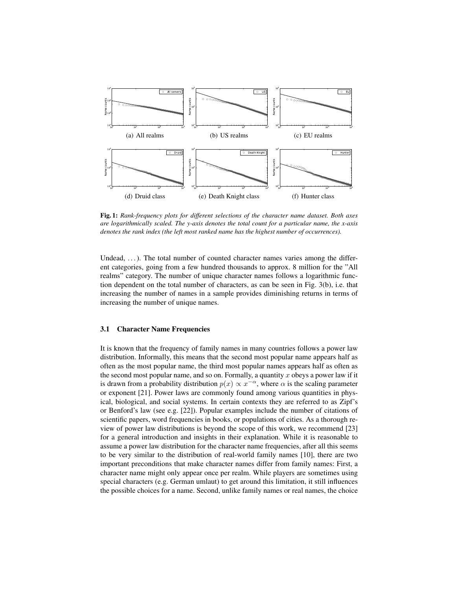

Fig. 1: *Rank-frequency plots for different selections of the character name dataset. Both axes are logarithmically scaled. The y-axis denotes the total count for a particular name, the x-axis denotes the rank index (the left most ranked name has the highest number of occurrences).*

Undead, ...). The total number of counted character names varies among the different categories, going from a few hundred thousands to approx. 8 million for the "All realms" category. The number of unique character names follows a logarithmic function dependent on the total number of characters, as can be seen in Fig. 3(b), i.e. that increasing the number of names in a sample provides diminishing returns in terms of increasing the number of unique names.

#### 3.1 Character Name Frequencies

It is known that the frequency of family names in many countries follows a power law distribution. Informally, this means that the second most popular name appears half as often as the most popular name, the third most popular names appears half as often as the second most popular name, and so on. Formally, a quantity  $x$  obeys a power law if it is drawn from a probability distribution  $p(x) \propto x^{-\alpha}$ , where  $\alpha$  is the scaling parameter or exponent [21]. Power laws are commonly found among various quantities in physical, biological, and social systems. In certain contexts they are referred to as Zipf's or Benford's law (see e.g. [22]). Popular examples include the number of citations of scientific papers, word frequencies in books, or populations of cities. As a thorough review of power law distributions is beyond the scope of this work, we recommend [23] for a general introduction and insights in their explanation. While it is reasonable to assume a power law distribution for the character name frequencies, after all this seems to be very similar to the distribution of real-world family names [10], there are two important preconditions that make character names differ from family names: First, a character name might only appear once per realm. While players are sometimes using special characters (e.g. German umlaut) to get around this limitation, it still influences the possible choices for a name. Second, unlike family names or real names, the choice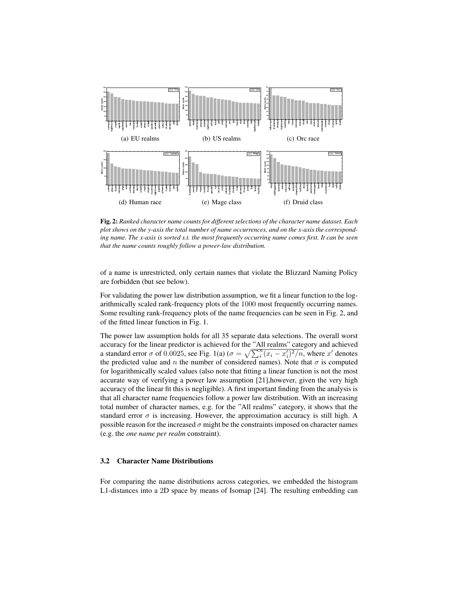

Fig. 2: *Ranked character name counts for different selections of the character name dataset. Each plot shows on the y-axis the total number of name occurrences, and on the x-axis the corresponding name. The x-axis is sorted s.t. the most frequently occurring name comes first. It can be seen that the name counts roughly follow a power-law distribution.*

of a name is unrestricted, only certain names that violate the Blizzard Naming Policy are forbidden (but see below).

For validating the power law distribution assumption, we fit a linear function to the logarithmically scaled rank-frequency plots of the 1000 most frequently occurring names. Some resulting rank-frequency plots of the name frequencies can be seen in Fig. 2, and of the fitted linear function in Fig. 1.

The power law assumption holds for all 35 separate data selections. The overall worst accuracy for the linear predictor is achieved for the "All realms" category and achieved a standard error  $\sigma$  of 0.0025, see Fig. 1(a) ( $\sigma = \sqrt{\sum_i^n (x_i - x_i')^2/n}$ , where x' denotes the predicted value and n the number of considered names). Note that  $\sigma$  is computed for logarithmically scaled values (also note that fitting a linear function is not the most accurate way of verifying a power law assumption [21],however, given the very high accuracy of the linear fit this is negligible). A first important finding from the analysis is that all character name frequencies follow a power law distribution. With an increasing total number of character names, e.g. for the "All realms" category, it shows that the standard error  $\sigma$  is increasing. However, the approximation accuracy is still high. A possible reason for the increased  $\sigma$  might be the constraints imposed on character names (e.g. the *one name per realm* constraint).

#### 3.2 Character Name Distributions

For comparing the name distributions across categories, we embedded the histogram L1-distances into a 2D space by means of Isomap [24]. The resulting embedding can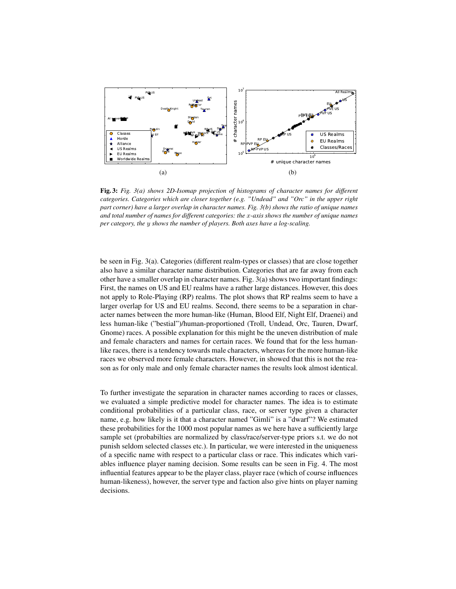

Fig. 3: *Fig. 3(a) shows 2D-Isomap projection of histograms of character names for different categories. Categories which are closer together (e.g. "Undead" and "Orc" in the upper right part corner) have a larger overlap in character names. Fig. 3(b) shows the ratio of unique names and total number of names for different categories: the* x*-axis shows the number of unique names per category, the* y *shows the number of players. Both axes have a log-scaling.*

be seen in Fig. 3(a). Categories (different realm-types or classes) that are close together also have a similar character name distribution. Categories that are far away from each other have a smaller overlap in character names. Fig. 3(a) shows two important findings: First, the names on US and EU realms have a rather large distances. However, this does not apply to Role-Playing (RP) realms. The plot shows that RP realms seem to have a larger overlap for US and EU realms. Second, there seems to be a separation in character names between the more human-like (Human, Blood Elf, Night Elf, Draenei) and less human-like ("bestial")/human-proportioned (Troll, Undead, Orc, Tauren, Dwarf, Gnome) races. A possible explanation for this might be the uneven distribution of male and female characters and names for certain races. We found that for the less humanlike races, there is a tendency towards male characters, whereas for the more human-like races we observed more female characters. However, in showed that this is not the reason as for only male and only female character names the results look almost identical.

To further investigate the separation in character names according to races or classes, we evaluated a simple predictive model for character names. The idea is to estimate conditional probabilities of a particular class, race, or server type given a character name, e.g. how likely is it that a character named "Gimli" is a "dwarf"? We estimated these probabilities for the 1000 most popular names as we here have a sufficiently large sample set (probabilties are normalized by class/race/server-type priors s.t. we do not punish seldom selected classes etc.). In particular, we were interested in the uniqueness of a specific name with respect to a particular class or race. This indicates which variables influence player naming decision. Some results can be seen in Fig. 4. The most influential features appear to be the player class, player race (which of course influences human-likeness), however, the server type and faction also give hints on player naming decisions.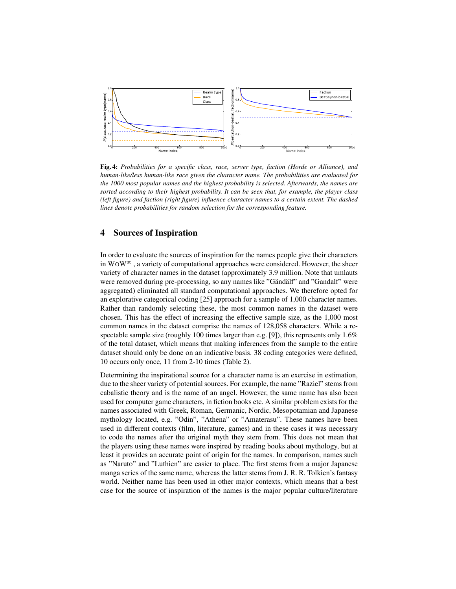

Fig. 4: *Probabilities for a specific class, race, server type, faction (Horde or Alliance), and human-like/less human-like race given the character name. The probabilities are evaluated for the 1000 most popular names and the highest probability is selected. Afterwards, the names are sorted according to their highest probability. It can be seen that, for example, the player class (left figure) and faction (right figure) influence character names to a certain extent. The dashed lines denote probabilities for random selection for the corresponding feature.*

## 4 Sources of Inspiration

In order to evaluate the sources of inspiration for the names people give their characters in  $WOW^{\circledR}$  , a variety of computational approaches were considered. However, the sheer variety of character names in the dataset (approximately 3.9 million. Note that umlauts were removed during pre-processing, so any names like "Gändälf" and "Gandalf" were aggregated) eliminated all standard computational approaches. We therefore opted for an explorative categorical coding [25] approach for a sample of 1,000 character names. Rather than randomly selecting these, the most common names in the dataset were chosen. This has the effect of increasing the effective sample size, as the 1,000 most common names in the dataset comprise the names of 128,058 characters. While a respectable sample size (roughly 100 times larger than e.g. [9]), this represents only 1.6% of the total dataset, which means that making inferences from the sample to the entire dataset should only be done on an indicative basis. 38 coding categories were defined, 10 occurs only once, 11 from 2-10 times (Table 2).

Determining the inspirational source for a character name is an exercise in estimation, due to the sheer variety of potential sources. For example, the name "Raziel" stems from cabalistic theory and is the name of an angel. However, the same name has also been used for computer game characters, in fiction books etc. A similar problem exists for the names associated with Greek, Roman, Germanic, Nordic, Mesopotamian and Japanese mythology located, e.g. "Odin", "Athena" or "Amaterasu". These names have been used in different contexts (film, literature, games) and in these cases it was necessary to code the names after the original myth they stem from. This does not mean that the players using these names were inspired by reading books about mythology, but at least it provides an accurate point of origin for the names. In comparison, names such as "Naruto" and "Luthien" are easier to place. The first stems from a major Japanese manga series of the same name, whereas the latter stems from J. R. R. Tolkien's fantasy world. Neither name has been used in other major contexts, which means that a best case for the source of inspiration of the names is the major popular culture/literature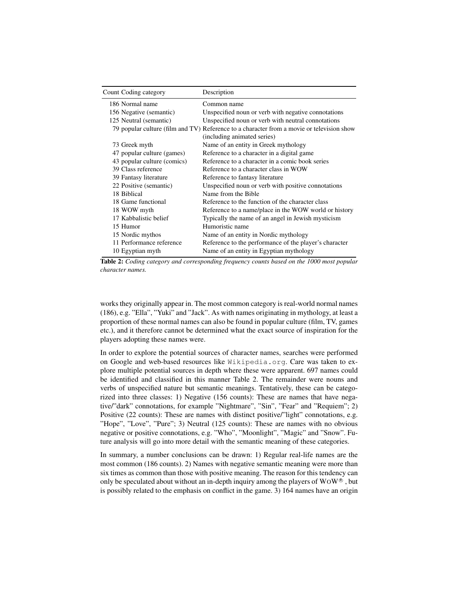| Count Coding category       | Description                                                                               |
|-----------------------------|-------------------------------------------------------------------------------------------|
| 186 Normal name             | Common name                                                                               |
| 156 Negative (semantic)     | Unspecified noun or verb with negative connotations                                       |
| 125 Neutral (semantic)      | Unspecified noun or verb with neutral connotations                                        |
|                             | 79 popular culture (film and TV) Reference to a character from a movie or television show |
|                             | (including animated series)                                                               |
| 73 Greek myth               | Name of an entity in Greek mythology                                                      |
| 47 popular culture (games)  | Reference to a character in a digital game.                                               |
| 43 popular culture (comics) | Reference to a character in a comic book series                                           |
| 39 Class reference          | Reference to a character class in WOW                                                     |
| 39 Fantasy literature       | Reference to fantasy literature                                                           |
| 22 Positive (semantic)      | Unspecified noun or verb with positive connotations                                       |
| 18 Biblical                 | Name from the Bible                                                                       |
| 18 Game functional          | Reference to the function of the character class                                          |
| 18 WOW myth                 | Reference to a name/place in the WOW world or history                                     |
| 17 Kabbalistic belief       | Typically the name of an angel in Jewish mysticism                                        |
| 15 Humor                    | Humoristic name                                                                           |
| 15 Nordic mythos            | Name of an entity in Nordic mythology                                                     |
| 11 Performance reference    | Reference to the performance of the player's character                                    |
| 10 Egyptian myth            | Name of an entity in Egyptian mythology                                                   |

Table 2: *Coding category and corresponding frequency counts based on the 1000 most popular character names.*

works they originally appear in. The most common category is real-world normal names (186), e.g. "Ella", "Yuki" and "Jack". As with names originating in mythology, at least a proportion of these normal names can also be found in popular culture (film, TV, games etc.), and it therefore cannot be determined what the exact source of inspiration for the players adopting these names were.

In order to explore the potential sources of character names, searches were performed on Google and web-based resources like Wikipedia.org. Care was taken to explore multiple potential sources in depth where these were apparent. 697 names could be identified and classified in this manner Table 2. The remainder were nouns and verbs of unspecified nature but semantic meanings. Tentatively, these can be categorized into three classes: 1) Negative (156 counts): These are names that have negative/"dark" connotations, for example "Nightmare", "Sin", "Fear" and "Requiem"; 2) Positive (22 counts): These are names with distinct positive/"light" connotations, e.g. "Hope", "Love", "Pure"; 3) Neutral (125 counts): These are names with no obvious negative or positive connotations, e.g. "Who", "Moonlight", "Magic" and "Snow". Future analysis will go into more detail with the semantic meaning of these categories.

In summary, a number conclusions can be drawn: 1) Regular real-life names are the most common (186 counts). 2) Names with negative semantic meaning were more than six times as common than those with positive meaning. The reason for this tendency can only be speculated about without an in-depth inquiry among the players of  $WOW^{\otimes}$  , but is possibly related to the emphasis on conflict in the game. 3) 164 names have an origin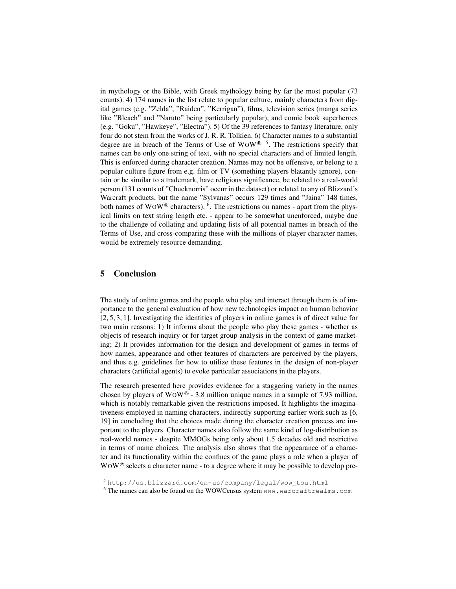in mythology or the Bible, with Greek mythology being by far the most popular (73 counts). 4) 174 names in the list relate to popular culture, mainly characters from digital games (e.g. "Zelda", "Raiden", "Kerrigan"), films, television series (manga series like "Bleach" and "Naruto" being particularly popular), and comic book superheroes (e.g. "Goku", "Hawkeye", "Electra"). 5) Of the 39 references to fantasy literature, only four do not stem from the works of J. R. R. Tolkien. 6) Character names to a substantial degree are in breach of the Terms of Use of WOW<sup> $\text{\textcircled{s}}$ </sup> 5. The restrictions specify that names can be only one string of text, with no special characters and of limited length. This is enforced during character creation. Names may not be offensive, or belong to a popular culture figure from e.g. film or TV (something players blatantly ignore), contain or be similar to a trademark, have religious significance, be related to a real-world person (131 counts of "Chucknorris" occur in the dataset) or related to any of Blizzard's Warcraft products, but the name "Sylvanas" occurs 129 times and "Jaina" 148 times, both names of  $WOW^{\circledR}$  characters). <sup>6</sup>. The restrictions on names - apart from the physical limits on text string length etc. - appear to be somewhat unenforced, maybe due to the challenge of collating and updating lists of all potential names in breach of the Terms of Use, and cross-comparing these with the millions of player character names, would be extremely resource demanding.

## 5 Conclusion

The study of online games and the people who play and interact through them is of importance to the general evaluation of how new technologies impact on human behavior [2, 5, 3, 1]. Investigating the identities of players in online games is of direct value for two main reasons: 1) It informs about the people who play these games - whether as objects of research inquiry or for target group analysis in the context of game marketing; 2) It provides information for the design and development of games in terms of how names, appearance and other features of characters are perceived by the players, and thus e.g. guidelines for how to utilize these features in the design of non-player characters (artificial agents) to evoke particular associations in the players.

The research presented here provides evidence for a staggering variety in the names chosen by players of WOW $\textcircled{}$  - 3.8 million unique names in a sample of 7.93 million, which is notably remarkable given the restrictions imposed. It highlights the imaginativeness employed in naming characters, indirectly supporting earlier work such as [6, 19] in concluding that the choices made during the character creation process are important to the players. Character names also follow the same kind of log-distribution as real-world names - despite MMOGs being only about 1.5 decades old and restrictive in terms of name choices. The analysis also shows that the appearance of a character and its functionality within the confines of the game plays a role when a player of WOW<sup>®</sup> selects a character name - to a degree where it may be possible to develop pre-

<sup>5</sup> http://us.blizzard.com/en-us/company/legal/wow\_tou.html

<sup>6</sup> The names can also be found on the WOWCensus system www.warcraftrealms.com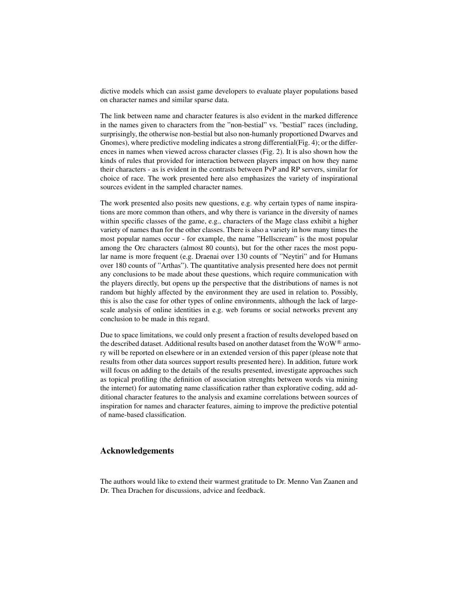dictive models which can assist game developers to evaluate player populations based on character names and similar sparse data.

The link between name and character features is also evident in the marked difference in the names given to characters from the "non-bestial" vs. "bestial" races (including, surprisingly, the otherwise non-bestial but also non-humanly proportioned Dwarves and Gnomes), where predictive modeling indicates a strong differential(Fig. 4); or the differences in names when viewed across character classes (Fig. 2). It is also shown how the kinds of rules that provided for interaction between players impact on how they name their characters - as is evident in the contrasts between PvP and RP servers, similar for choice of race. The work presented here also emphasizes the variety of inspirational sources evident in the sampled character names.

The work presented also posits new questions, e.g. why certain types of name inspirations are more common than others, and why there is variance in the diversity of names within specific classes of the game, e.g., characters of the Mage class exhibit a higher variety of names than for the other classes. There is also a variety in how many times the most popular names occur - for example, the name "Hellscream" is the most popular among the Orc characters (almost 80 counts), but for the other races the most popular name is more frequent (e.g. Draenai over 130 counts of "Neytiri" and for Humans over 180 counts of "Arthas"). The quantitative analysis presented here does not permit any conclusions to be made about these questions, which require communication with the players directly, but opens up the perspective that the distributions of names is not random but highly affected by the environment they are used in relation to. Possibly, this is also the case for other types of online environments, although the lack of largescale analysis of online identities in e.g. web forums or social networks prevent any conclusion to be made in this regard.

Due to space limitations, we could only present a fraction of results developed based on the described dataset. Additional results based on another dataset from the  $WOW^{\circledast}$  armory will be reported on elsewhere or in an extended version of this paper (please note that results from other data sources support results presented here). In addition, future work will focus on adding to the details of the results presented, investigate approaches such as topical profiling (the definition of association strenghts between words via mining the internet) for automating name classification rather than explorative coding, add additional character features to the analysis and examine correlations between sources of inspiration for names and character features, aiming to improve the predictive potential of name-based classification.

### Acknowledgements

The authors would like to extend their warmest gratitude to Dr. Menno Van Zaanen and Dr. Thea Drachen for discussions, advice and feedback.